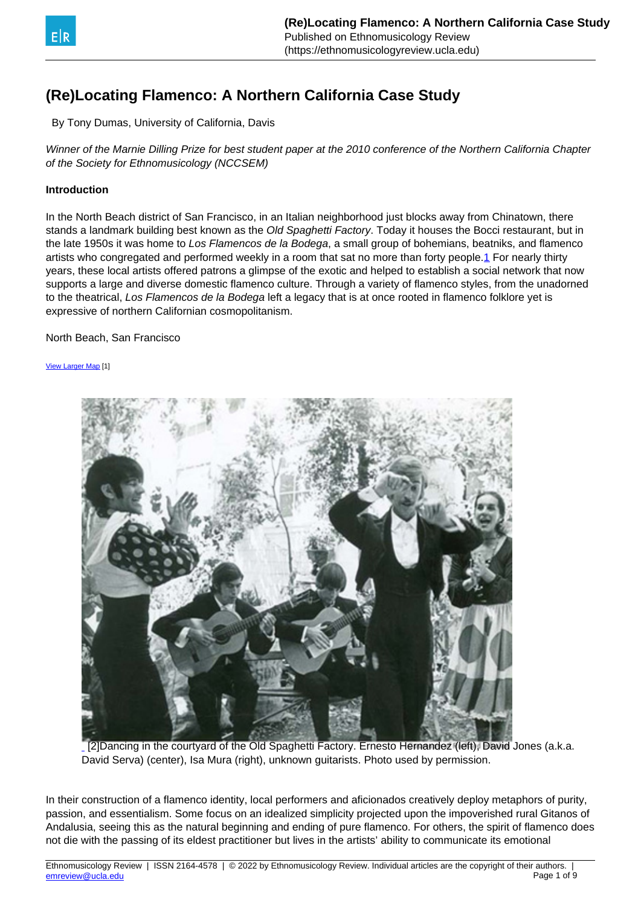<span id="page-0-0"></span>

# **(Re)Locating Flamenco: A Northern California Case Study**

By Tony Dumas, University of California, Davis

Winner of the Marnie Dilling Prize for best student paper at the 2010 conference of the Northern California Chapter of the Society for Ethnomusicology (NCCSEM)

## **Introduction**

In the North Beach district of San Francisco, in an Italian neighborhood just blocks away from Chinatown, there stands a landmark building best known as the Old Spaghetti Factory. Today it houses the Bocci restaurant, but in the late 1950s it was home to Los Flamencos de la Bodega, a small group of bohemians, beatniks, and flamenco artists who congregated and performed weekly in a room that sat no more than forty people[.1](#page-0-0) For nearly thirty years, these local artists offered patrons a glimpse of the exotic and helped to establish a social network that now supports a large and diverse domestic flamenco culture. Through a variety of flamenco styles, from the unadorned to the theatrical, Los Flamencos de la Bodega left a legacy that is at once rooted in flamenco folklore yet is expressive of northern Californian cosmopolitanism.

North Beach, San Francisco

[View Larger Map](http://maps.google.com/?ie=UTF8&ll=37.800222,-122.413187&spn=0.023737,0.036478&z=14&source=embed) [1]



[\[2\]Dancing in the courtyard of the Old Spaghetti Factory. Ernesto Hernandez \(left\), David](https://ethnomusicologyreview.ucla.edu/Vol15media/DUMASimage1.jpg) Jones (a.k.a. David Serva) (center), Isa Mura (right), unknown guitarists. Photo used by permission.

In their construction of a flamenco identity, local performers and aficionados creatively deploy metaphors of purity, passion, and essentialism. Some focus on an idealized simplicity projected upon the impoverished rural Gitanos of Andalusia, seeing this as the natural beginning and ending of pure flamenco. For others, the spirit of flamenco does not die with the passing of its eldest practitioner but lives in the artists' ability to communicate its emotional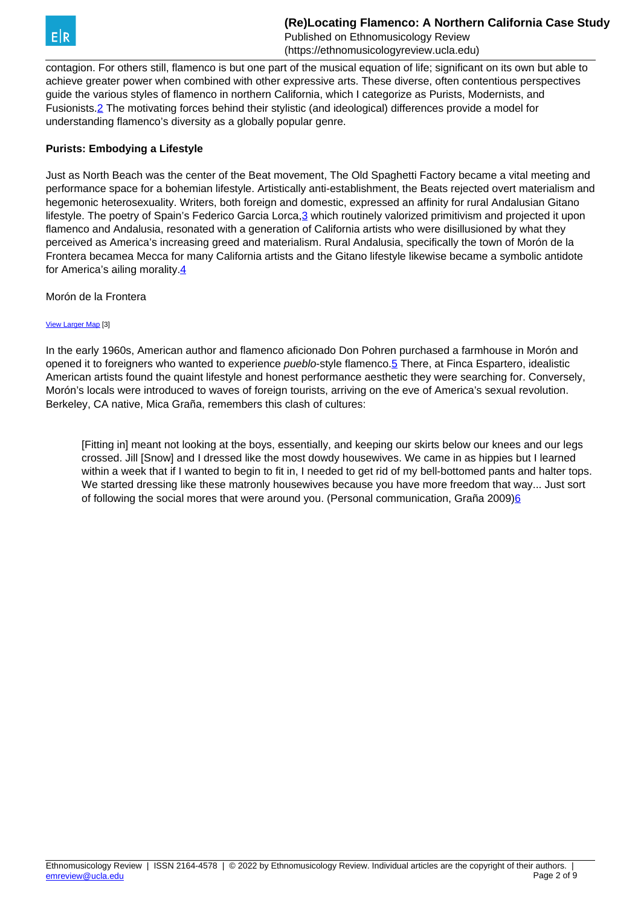<span id="page-1-0"></span>

contagion. For others still, flamenco is but one part of the musical equation of life; significant on its own but able to achieve greater power when combined with other expressive arts. These diverse, often contentious perspectives guide the various styles of flamenco in northern California, which I categorize as Purists, Modernists, and Fusionists[.2](#page-1-0) The motivating forces behind their stylistic (and ideological) differences provide a model for understanding flamenco's diversity as a globally popular genre.

## **Purists: Embodying a Lifestyle**

Just as North Beach was the center of the Beat movement, The Old Spaghetti Factory became a vital meeting and performance space for a bohemian lifestyle. Artistically anti-establishment, the Beats rejected overt materialism and hegemonic heterosexuality. Writers, both foreign and domestic, expressed an affinity for rural Andalusian Gitano lifestyle. The poetry of Spain's Federico Garcia Lorca, 3 which routinely valorized primitivism and projected it upon flamenco and Andalusia, resonated with a generation of California artists who were disillusioned by what they perceived as America's increasing greed and materialism. Rural Andalusia, specifically the town of Morón de la Frontera becamea Mecca for many California artists and the Gitano lifestyle likewise became a symbolic antidote for America's ailing morality.[4](#page-1-0)

Morón de la Frontera

#### [View Larger Map](http://maps.google.com/?ie=UTF8&ll=37.081476,-5.531616&spn=2.177899,3.532104&z=8&source=embed) [3]

In the early 1960s, American author and flamenco aficionado Don Pohren purchased a farmhouse in Morón and opened it to foreigners who wanted to experience pueblo-style flamenco.[5](#page-1-0) There, at Finca Espartero, idealistic American artists found the quaint lifestyle and honest performance aesthetic they were searching for. Conversely, Morón's locals were introduced to waves of foreign tourists, arriving on the eve of America's sexual revolution. Berkeley, CA native, Mica Graña, remembers this clash of cultures:

[Fitting in] meant not looking at the boys, essentially, and keeping our skirts below our knees and our legs crossed. Jill [Snow] and I dressed like the most dowdy housewives. We came in as hippies but I learned within a week that if I wanted to begin to fit in, I needed to get rid of my bell-bottomed pants and halter tops. We started dressing like these matronly housewives because you have more freedom that way... Just sort of following the social mores that were around you. (Personal communication, Graña 2009[\)6](#page-1-0)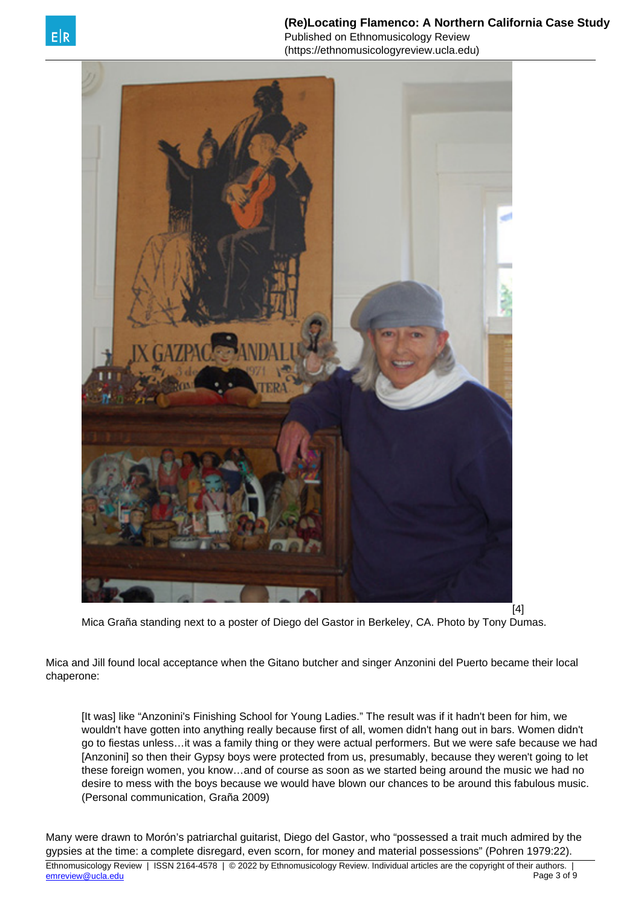

**(Re)Locating Flamenco: A Northern California Case Study** Published on Ethnomusicology Review (https://ethnomusicologyreview.ucla.edu)



Mica Graña standing next to a poster of Diego del Gastor in Berkeley, CA. Photo by Tony Dumas.

Mica and Jill found local acceptance when the Gitano butcher and singer Anzonini del Puerto became their local chaperone:

[It was] like "Anzonini's Finishing School for Young Ladies." The result was if it hadn't been for him, we wouldn't have gotten into anything really because first of all, women didn't hang out in bars. Women didn't go to fiestas unless…it was a family thing or they were actual performers. But we were safe because we had [Anzonini] so then their Gypsy boys were protected from us, presumably, because they weren't going to let these foreign women, you know…and of course as soon as we started being around the music we had no desire to mess with the boys because we would have blown our chances to be around this fabulous music. (Personal communication, Graña 2009)

Many were drawn to Morón's patriarchal guitarist, Diego del Gastor, who "possessed a trait much admired by the gypsies at the time: a complete disregard, even scorn, for money and material possessions" (Pohren 1979:22).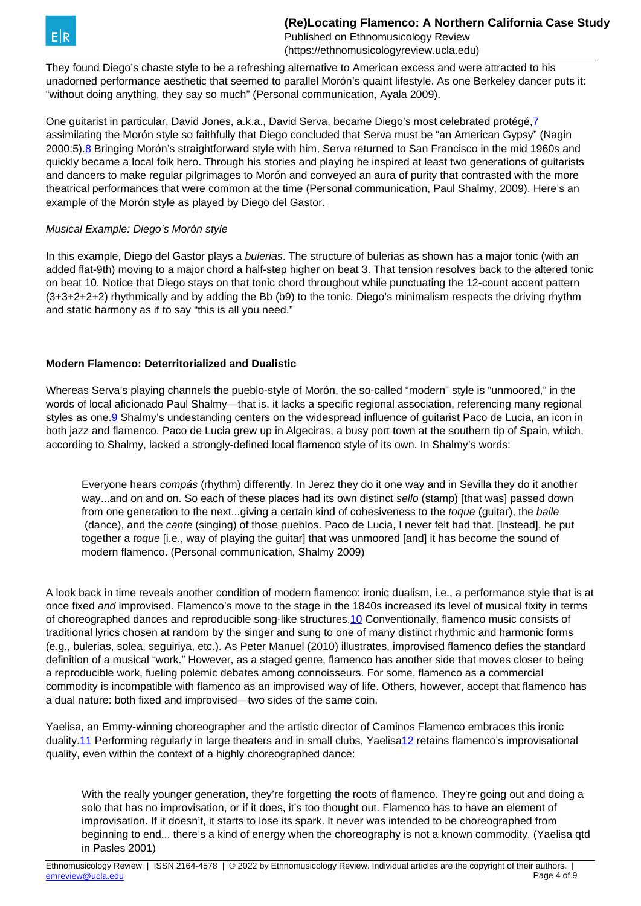<span id="page-3-0"></span>They found Diego's chaste style to be a refreshing alternative to American excess and were attracted to his unadorned performance aesthetic that seemed to parallel Morón's quaint lifestyle. As one Berkeley dancer puts it: "without doing anything, they say so much" (Personal communication, Ayala 2009).

One guitarist in particular, David Jones, a.k.a., David Serva, became Diego's most celebrated protégé,[7](#page-3-0) assimilating the Morón style so faithfully that Diego concluded that Serva must be "an American Gypsy" (Nagin 2000:5)[.8](#page-3-0) Bringing Morón's straightforward style with him, Serva returned to San Francisco in the mid 1960s and quickly became a local folk hero. Through his stories and playing he inspired at least two generations of guitarists and dancers to make regular pilgrimages to Morón and conveyed an aura of purity that contrasted with the more theatrical performances that were common at the time (Personal communication, Paul Shalmy, 2009). Here's an example of the Morón style as played by Diego del Gastor.

# Musical Example: Diego's Morón style

In this example, Diego del Gastor plays a *bulerias*. The structure of bulerias as shown has a major tonic (with an added flat-9th) moving to a major chord a half-step higher on beat 3. That tension resolves back to the altered tonic on beat 10. Notice that Diego stays on that tonic chord throughout while punctuating the 12-count accent pattern (3+3+2+2+2) rhythmically and by adding the Bb (b9) to the tonic. Diego's minimalism respects the driving rhythm and static harmony as if to say "this is all you need."

# **Modern Flamenco: Deterritorialized and Dualistic**

Whereas Serva's playing channels the pueblo-style of Morón, the so-called "modern" style is "unmoored," in the words of local aficionado Paul Shalmy—that is, it lacks a specific regional association, referencing many regional styles as one.<sup>[9](#page-3-0)</sup> Shalmy's undestanding centers on the widespread influence of guitarist Paco de Lucia, an icon in both jazz and flamenco. Paco de Lucia grew up in Algeciras, a busy port town at the southern tip of Spain, which, according to Shalmy, lacked a strongly-defined local flamenco style of its own. In Shalmy's words:

Everyone hears compás (rhythm) differently. In Jerez they do it one way and in Sevilla they do it another way...and on and on. So each of these places had its own distinct sello (stamp) [that was] passed down from one generation to the next...giving a certain kind of cohesiveness to the toque (guitar), the baile (dance), and the cante (singing) of those pueblos. Paco de Lucia, I never felt had that. [Instead], he put together a *toque* [i.e., way of playing the guitar] that was unmoored [and] it has become the sound of modern flamenco. (Personal communication, Shalmy 2009)

A look back in time reveals another condition of modern flamenco: ironic dualism, i.e., a performance style that is at once fixed and improvised. Flamenco's move to the stage in the 1840s increased its level of musical fixity in terms of choreographed dances and reproducible song-like structures[.10](#page-3-0) Conventionally, flamenco music consists of traditional lyrics chosen at random by the singer and sung to one of many distinct rhythmic and harmonic forms (e.g., bulerias, solea, seguiriya, etc.). As Peter Manuel (2010) illustrates, improvised flamenco defies the standard definition of a musical "work." However, as a staged genre, flamenco has another side that moves closer to being a reproducible work, fueling polemic debates among connoisseurs. For some, flamenco as a commercial commodity is incompatible with flamenco as an improvised way of life. Others, however, accept that flamenco has a dual nature: both fixed and improvised—two sides of the same coin.

Yaelisa, an Emmy-winning choreographer and the artistic director of Caminos Flamenco embraces this ironic duality[.11](#page-3-0) Performing regularly in large theaters and in small clubs, Yaelis[a12](#page-3-0) retains flamenco's improvisational quality, even within the context of a highly choreographed dance:

With the really younger generation, they're forgetting the roots of flamenco. They're going out and doing a solo that has no improvisation, or if it does, it's too thought out. Flamenco has to have an element of improvisation. If it doesn't, it starts to lose its spark. It never was intended to be choreographed from beginning to end... there's a kind of energy when the choreography is not a known commodity. (Yaelisa qtd in Pasles 2001)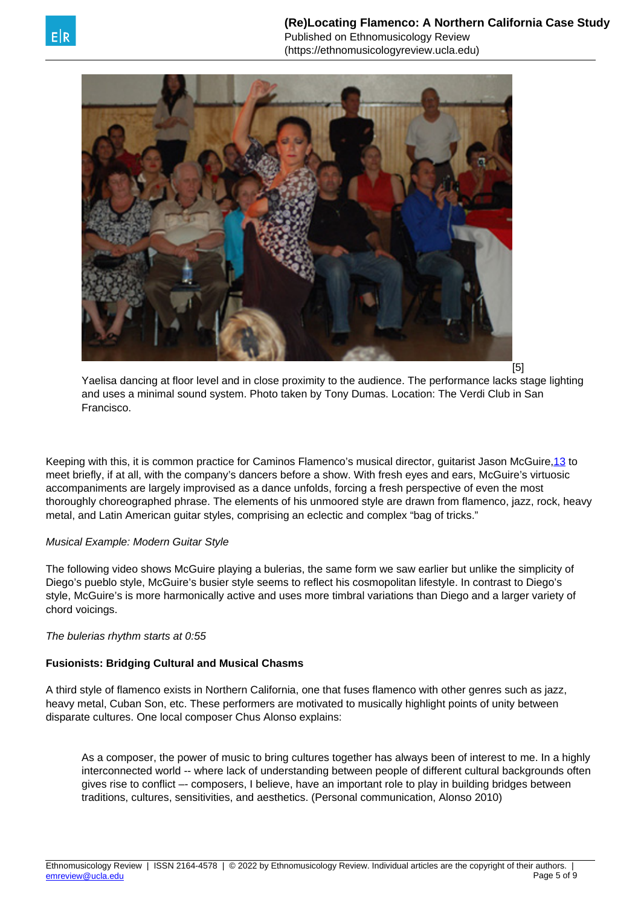<span id="page-4-0"></span>

[5]

Yaelisa dancing at floor level and in close proximity to the audience. The performance lacks stage lighting and uses a minimal sound system. Photo taken by Tony Dumas. Location: The Verdi Club in San Francisco.

Keeping with this, it is common practice for Caminos Flamenco's musical director, guitarist Jason McGuire[,13](#page-4-0) to meet briefly, if at all, with the company's dancers before a show. With fresh eyes and ears, McGuire's virtuosic accompaniments are largely improvised as a dance unfolds, forcing a fresh perspective of even the most thoroughly choreographed phrase. The elements of his unmoored style are drawn from flamenco, jazz, rock, heavy metal, and Latin American guitar styles, comprising an eclectic and complex "bag of tricks."

## Musical Example: Modern Guitar Style

The following video shows McGuire playing a bulerias, the same form we saw earlier but unlike the simplicity of Diego's pueblo style, McGuire's busier style seems to reflect his cosmopolitan lifestyle. In contrast to Diego's style, McGuire's is more harmonically active and uses more timbral variations than Diego and a larger variety of chord voicings.

## The bulerias rhythm starts at 0:55

## **Fusionists: Bridging Cultural and Musical Chasms**

A third style of flamenco exists in Northern California, one that fuses flamenco with other genres such as jazz, heavy metal, Cuban Son, etc. These performers are motivated to musically highlight points of unity between disparate cultures. One local composer Chus Alonso explains:

As a composer, the power of music to bring cultures together has always been of interest to me. In a highly interconnected world -- where lack of understanding between people of different cultural backgrounds often gives rise to conflict –- composers, I believe, have an important role to play in building bridges between traditions, cultures, sensitivities, and aesthetics. (Personal communication, Alonso 2010)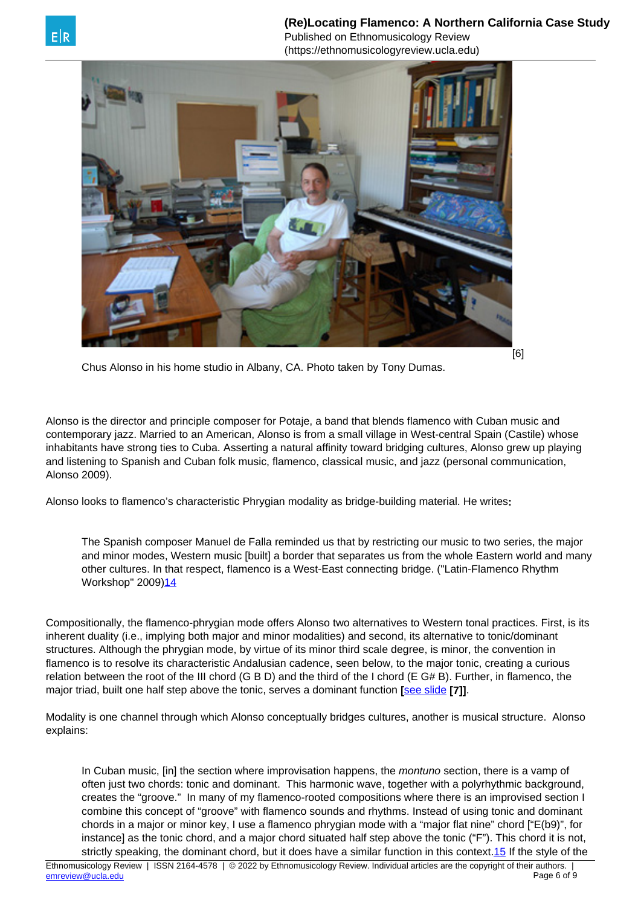<span id="page-5-0"></span>

Chus Alonso in his home studio in Albany, CA. Photo taken by Tony Dumas.

Alonso is the director and principle composer for Potaje, a band that blends flamenco with Cuban music and contemporary jazz. Married to an American, Alonso is from a small village in West-central Spain (Castile) whose inhabitants have strong ties to Cuba. Asserting a natural affinity toward bridging cultures, Alonso grew up playing and listening to Spanish and Cuban folk music, flamenco, classical music, and jazz (personal communication, Alonso 2009).

Alonso looks to flamenco's characteristic Phrygian modality as bridge-building material. He writes**:**

The Spanish composer Manuel de Falla reminded us that by restricting our music to two series, the major and minor modes. Western music [built] a border that separates us from the whole Eastern world and many other cultures. In that respect, flamenco is a West-East connecting bridge. ("Latin-Flamenco Rhythm Workshop" 2009)<sup>[14](#page-5-0)</sup>

Compositionally, the flamenco-phrygian mode offers Alonso two alternatives to Western tonal practices. First, is its inherent duality (i.e., implying both major and minor modalities) and second, its alternative to tonic/dominant structures. Although the phrygian mode, by virtue of its minor third scale degree, is minor, the convention in flamenco is to resolve its characteristic Andalusian cadence, seen below, to the major tonic, creating a curious relation between the root of the III chord (G B D) and the third of the I chord (E G# B). Further, in flamenco, the major triad, built one half step above the tonic, serves a dominant function **[**[see slide](https://ethnomusicologyreview.ucla.edu/Vol15media/DUMASslide19.jpg) **[7]]**.

Modality is one channel through which Alonso conceptually bridges cultures, another is musical structure. Alonso explains:

In Cuban music, [in] the section where improvisation happens, the montuno section, there is a vamp of often just two chords: tonic and dominant. This harmonic wave, together with a polyrhythmic background, creates the "groove." In many of my flamenco-rooted compositions where there is an improvised section I combine this concept of "groove" with flamenco sounds and rhythms. Instead of using tonic and dominant chords in a major or minor key, I use a flamenco phrygian mode with a "major flat nine" chord ["E(b9)", for instance] as the tonic chord, and a major chord situated half step above the tonic ("F"). This chord it is not, strictly speaking, the dominant chord, but it does have a similar function in this context.[15](#page-5-0) If the style of the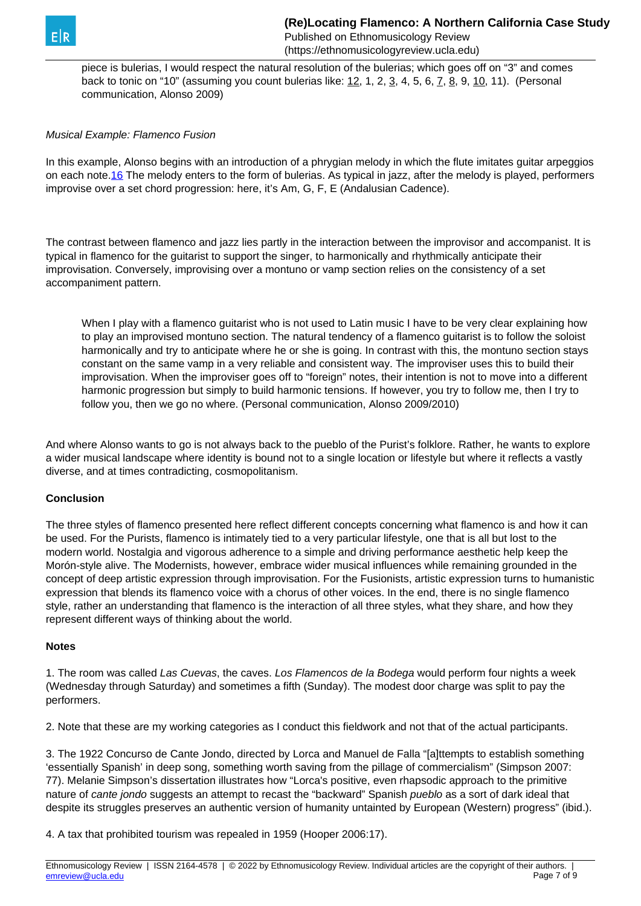<span id="page-6-0"></span>

piece is bulerias, I would respect the natural resolution of the bulerias; which goes off on "3" and comes back to tonic on "10" (assuming you count bulerias like: 12, 1, 2, 3, 4, 5, 6, 7, 8, 9, 10, 11). (Personal communication, Alonso 2009)

#### Musical Example: Flamenco Fusion

In this example, Alonso begins with an introduction of a phrygian melody in which the flute imitates guitar arpeggios on each note[.16](#page-6-0) The melody enters to the form of bulerias. As typical in jazz, after the melody is played, performers improvise over a set chord progression: here, it's Am, G, F, E (Andalusian Cadence).

The contrast between flamenco and jazz lies partly in the interaction between the improvisor and accompanist. It is typical in flamenco for the guitarist to support the singer, to harmonically and rhythmically anticipate their improvisation. Conversely, improvising over a montuno or vamp section relies on the consistency of a set accompaniment pattern.

When I play with a flamenco guitarist who is not used to Latin music I have to be very clear explaining how to play an improvised montuno section. The natural tendency of a flamenco guitarist is to follow the soloist harmonically and try to anticipate where he or she is going. In contrast with this, the montuno section stays constant on the same vamp in a very reliable and consistent way. The improviser uses this to build their improvisation. When the improviser goes off to "foreign" notes, their intention is not to move into a different harmonic progression but simply to build harmonic tensions. If however, you try to follow me, then I try to follow you, then we go no where. (Personal communication, Alonso 2009/2010)

And where Alonso wants to go is not always back to the pueblo of the Purist's folklore. Rather, he wants to explore a wider musical landscape where identity is bound not to a single location or lifestyle but where it reflects a vastly diverse, and at times contradicting, cosmopolitanism.

#### **Conclusion**

The three styles of flamenco presented here reflect different concepts concerning what flamenco is and how it can be used. For the Purists, flamenco is intimately tied to a very particular lifestyle, one that is all but lost to the modern world. Nostalgia and vigorous adherence to a simple and driving performance aesthetic help keep the Morón-style alive. The Modernists, however, embrace wider musical influences while remaining grounded in the concept of deep artistic expression through improvisation. For the Fusionists, artistic expression turns to humanistic expression that blends its flamenco voice with a chorus of other voices. In the end, there is no single flamenco style, rather an understanding that flamenco is the interaction of all three styles, what they share, and how they represent different ways of thinking about the world.

#### **Notes**

1. The room was called Las Cuevas, the caves. Los Flamencos de la Bodega would perform four nights a week (Wednesday through Saturday) and sometimes a fifth (Sunday). The modest door charge was split to pay the performers.

2. Note that these are my working categories as I conduct this fieldwork and not that of the actual participants.

3. The 1922 Concurso de Cante Jondo, directed by Lorca and Manuel de Falla "[a]ttempts to establish something 'essentially Spanish' in deep song, something worth saving from the pillage of commercialism" (Simpson 2007: 77). Melanie Simpson's dissertation illustrates how "Lorca's positive, even rhapsodic approach to the primitive nature of cante jondo suggests an attempt to recast the "backward" Spanish pueblo as a sort of dark ideal that despite its struggles preserves an authentic version of humanity untainted by European (Western) progress" (ibid.).

4. A tax that prohibited tourism was repealed in 1959 (Hooper 2006:17).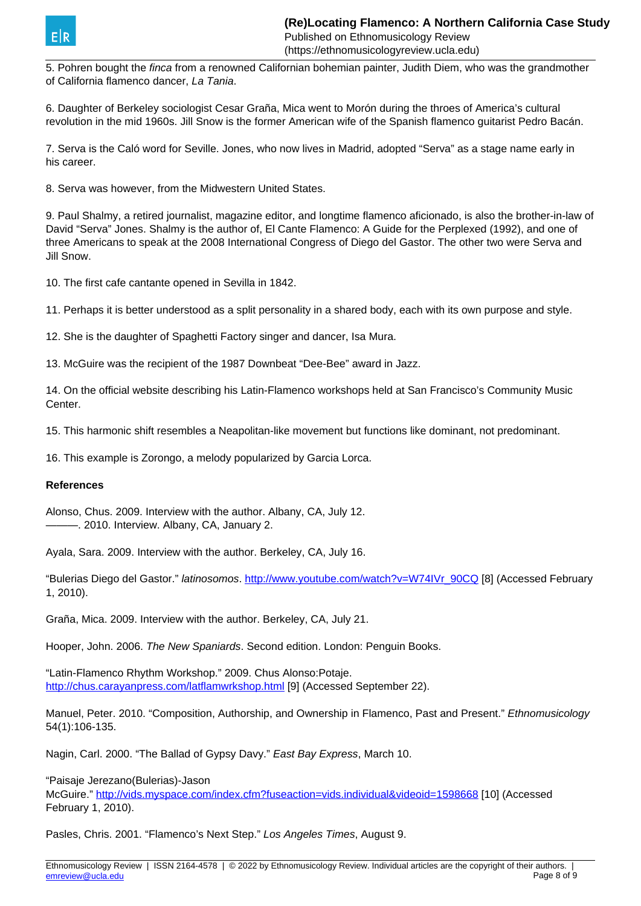

5. Pohren bought the finca from a renowned Californian bohemian painter, Judith Diem, who was the grandmother of California flamenco dancer, La Tania.

6. Daughter of Berkeley sociologist Cesar Graña, Mica went to Morón during the throes of America's cultural revolution in the mid 1960s. Jill Snow is the former American wife of the Spanish flamenco guitarist Pedro Bacán.

7. Serva is the Caló word for Seville. Jones, who now lives in Madrid, adopted "Serva" as a stage name early in his career.

8. Serva was however, from the Midwestern United States.

9. Paul Shalmy, a retired journalist, magazine editor, and longtime flamenco aficionado, is also the brother-in-law of David "Serva" Jones. Shalmy is the author of, El Cante Flamenco: A Guide for the Perplexed (1992), and one of three Americans to speak at the 2008 International Congress of Diego del Gastor. The other two were Serva and Jill Snow.

10. The first cafe cantante opened in Sevilla in 1842.

11. Perhaps it is better understood as a split personality in a shared body, each with its own purpose and style.

12. She is the daughter of Spaghetti Factory singer and dancer, Isa Mura.

13. McGuire was the recipient of the 1987 Downbeat "Dee-Bee" award in Jazz.

14. On the official website describing his Latin-Flamenco workshops held at San Francisco's Community Music Center.

15. This harmonic shift resembles a Neapolitan-like movement but functions like dominant, not predominant.

16. This example is Zorongo, a melody popularized by Garcia Lorca.

#### **References**

Alonso, Chus. 2009. Interview with the author. Albany, CA, July 12. ———. 2010. Interview. Albany, CA, January 2.

Ayala, Sara. 2009. Interview with the author. Berkeley, CA, July 16.

"Bulerias Diego del Gastor." latinosomos. [http://www.youtube.com/watch?v=W74IVr\\_90CQ](http://www.youtube.com/watch?v=W74IVr_90CQ) [8] (Accessed February 1, 2010).

Graña, Mica. 2009. Interview with the author. Berkeley, CA, July 21.

Hooper, John. 2006. The New Spaniards. Second edition. London: Penguin Books.

"Latin-Flamenco Rhythm Workshop." 2009. Chus Alonso:Potaje. <http://chus.carayanpress.com/latflamwrkshop.html> [9] (Accessed September 22).

Manuel, Peter. 2010. "Composition, Authorship, and Ownership in Flamenco, Past and Present." Ethnomusicology 54(1):106-135.

Nagin, Carl. 2000. "The Ballad of Gypsy Davy." East Bay Express, March 10.

"Paisaje Jerezano(Bulerias)-Jason

McGuire."<http://vids.myspace.com/index.cfm?fuseaction=vids.individual&videoid=1598668> [10] (Accessed February 1, 2010).

Pasles, Chris. 2001. "Flamenco's Next Step." Los Angeles Times, August 9.